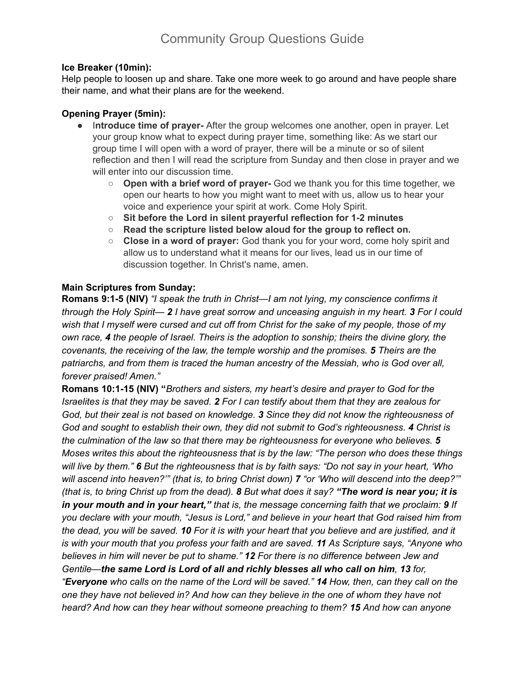## **Ice Breaker (10min):**

Help people to loosen up and share. Take one more week to go around and have people share their name, and what their plans are for the weekend.

## **Opening Prayer (5min):**

- I**ntroduce time of prayer-** After the group welcomes one another, open in prayer. Let your group know what to expect during prayer time, something like: As we start our group time I will open with a word of prayer, there will be a minute or so of silent reflection and then I will read the scripture from Sunday and then close in prayer and we will enter into our discussion time.
	- **Open with a brief word of prayer-** God we thank you for this time together, we open our hearts to how you might want to meet with us, allow us to hear your voice and experience your spirit at work. Come Holy Spirit.
	- **○ Sit before the Lord in silent prayerful reflection for 1-2 minutes**
	- **○ Read the scripture listed below aloud for the group to reflect on.**
	- **Close in a word of prayer:** God thank you for your word, come holy spirit and allow us to understand what it means for our lives, lead us in our time of discussion together. In Christ's name, amen.

# **Main Scriptures from Sunday:**

**Romans 9:1-5 (NIV)** *"I speak the truth in Christ—I am not lying, my conscience confirms it* through the Holy Spirit— 2 I have great sorrow and unceasing anguish in my heart. 3 For I could wish that I myself were cursed and cut off from Christ for the sake of my people, those of my *own race, 4 the people of Israel. Theirs is the adoption to sonship; theirs the divine glory, the covenants, the receiving of the law, the temple worship and the promises. 5 Theirs are the patriarchs, and from them is traced the human ancestry of the Messiah, who is God over all, forever praised! Amen."*

**Romans 10:1-15 (NIV) "***Brothers and sisters, my heart's desire and prayer to God for the* Israelites is that they may be saved. 2 For I can testify about them that they are zealous for *God, but their zeal is not based on knowledge. 3 Since they did not know the righteousness of God and sought to establish their own, they did not submit to God's righteousness. 4 Christ is the culmination of the law so that there may be righteousness for everyone who believes. 5 Moses writes this about the righteousness that is by the law: "The person who does these things* will live by them." 6 But the righteousness that is by faith says: "Do not say in your heart, 'Who will ascend into heaven?"" (that is, to bring Christ down) 7 "or 'Who will descend into the deep?"" (that is, to bring Christ up from the dead). 8 But what does it say? "The word is near you; it is *in your mouth and in your heart," that is, the message concerning faith that we proclaim: 9 If you declare with your mouth, "Jesus is Lord," and believe in your heart that God raised him from* the dead, you will be saved. 10 For it is with your heart that you believe and are justified, and it *is with your mouth that you profess your faith and are saved. 11 As Scripture says, "Anyone who believes in him will never be put to shame." 12 For there is no difference between Jew and Gentile—the same Lord is Lord of all and richly blesses all who call on him, 13 for,* "Everyone who calls on the name of the Lord will be saved." 14 How, then, can they call on the *one they have not believed in? And how can they believe in the one of whom they have not heard? And how can they hear without someone preaching to them? 15 And how can anyone*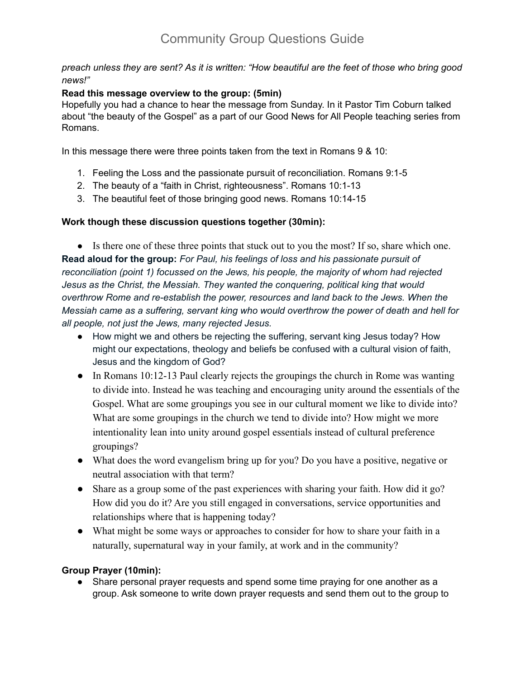preach unless they are sent? As it is written: "How beautiful are the feet of those who bring good *news!"*

## **Read this message overview to the group: (5min)**

Hopefully you had a chance to hear the message from Sunday. In it Pastor Tim Coburn talked about "the beauty of the Gospel" as a part of our Good News for All People teaching series from Romans.

In this message there were three points taken from the text in Romans 9 & 10:

- 1. Feeling the Loss and the passionate pursuit of reconciliation. Romans 9:1-5
- 2. The beauty of a "faith in Christ, righteousness". Romans 10:1-13
- 3. The beautiful feet of those bringing good news. Romans 10:14-15

# **Work though these discussion questions together (30min):**

● Is there one of these three points that stuck out to you the most? If so, share which one. **Read aloud for the group:** *For Paul, his feelings of loss and his passionate pursuit of reconciliation (point 1) focussed on the Jews, his people, the majority of whom had rejected Jesus as the Christ, the Messiah. They wanted the conquering, political king that would overthrow Rome and re-establish the power, resources and land back to the Jews. When the Messiah came as a suffering, servant king who would overthrow the power of death and hell for all people, not just the Jews, many rejected Jesus.*

- How might we and others be rejecting the suffering, servant king Jesus today? How might our expectations, theology and beliefs be confused with a cultural vision of faith, Jesus and the kingdom of God?
- In Romans 10:12-13 Paul clearly rejects the groupings the church in Rome was wanting to divide into. Instead he was teaching and encouraging unity around the essentials of the Gospel. What are some groupings you see in our cultural moment we like to divide into? What are some groupings in the church we tend to divide into? How might we more intentionality lean into unity around gospel essentials instead of cultural preference groupings?
- What does the word evangelism bring up for you? Do you have a positive, negative or neutral association with that term?
- Share as a group some of the past experiences with sharing your faith. How did it go? How did you do it? Are you still engaged in conversations, service opportunities and relationships where that is happening today?
- What might be some ways or approaches to consider for how to share your faith in a naturally, supernatural way in your family, at work and in the community?

# **Group Prayer (10min):**

• Share personal prayer requests and spend some time praying for one another as a group. Ask someone to write down prayer requests and send them out to the group to